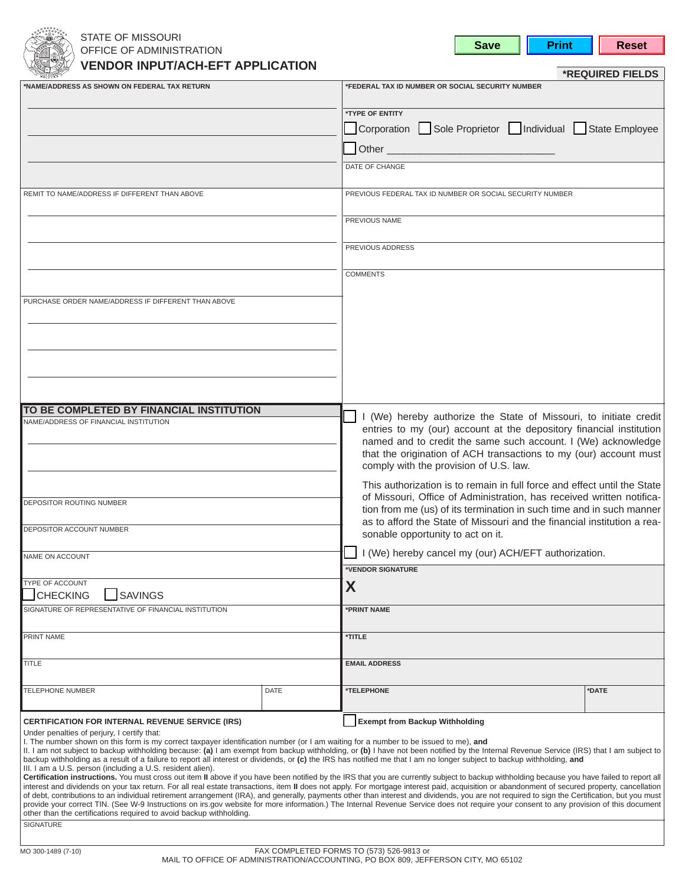

# STATE OF MISSOURI OFFICE OF ADMINISTRATION **VENDOR INPUT/ACHEFT APPLICATION**

| save |  |  |
|------|--|--|
|------|--|--|

**Print Reset** 

|                                                                                                                                                                                                                                                                                                                                                                                                                                                                                                                                                                                                                                                                                                                                                                                                                                                                                                                                                                                                                                                                                                                                                                                                                                                                                                                                                                                                                                                                                                                        |             |                                                                                                                                                                                                                                                                                                                                                                                                                                                                                                                                                                                                  | *REQUIRED FIELDS |  |
|------------------------------------------------------------------------------------------------------------------------------------------------------------------------------------------------------------------------------------------------------------------------------------------------------------------------------------------------------------------------------------------------------------------------------------------------------------------------------------------------------------------------------------------------------------------------------------------------------------------------------------------------------------------------------------------------------------------------------------------------------------------------------------------------------------------------------------------------------------------------------------------------------------------------------------------------------------------------------------------------------------------------------------------------------------------------------------------------------------------------------------------------------------------------------------------------------------------------------------------------------------------------------------------------------------------------------------------------------------------------------------------------------------------------------------------------------------------------------------------------------------------------|-------------|--------------------------------------------------------------------------------------------------------------------------------------------------------------------------------------------------------------------------------------------------------------------------------------------------------------------------------------------------------------------------------------------------------------------------------------------------------------------------------------------------------------------------------------------------------------------------------------------------|------------------|--|
| NAME/ADDRESS AS SHOWN ON FEDERAL TAX RETURN*                                                                                                                                                                                                                                                                                                                                                                                                                                                                                                                                                                                                                                                                                                                                                                                                                                                                                                                                                                                                                                                                                                                                                                                                                                                                                                                                                                                                                                                                           |             | *FEDERAL TAX ID NUMBER OR SOCIAL SECURITY NUMBER                                                                                                                                                                                                                                                                                                                                                                                                                                                                                                                                                 |                  |  |
|                                                                                                                                                                                                                                                                                                                                                                                                                                                                                                                                                                                                                                                                                                                                                                                                                                                                                                                                                                                                                                                                                                                                                                                                                                                                                                                                                                                                                                                                                                                        |             | *TYPE OF ENTITY                                                                                                                                                                                                                                                                                                                                                                                                                                                                                                                                                                                  |                  |  |
|                                                                                                                                                                                                                                                                                                                                                                                                                                                                                                                                                                                                                                                                                                                                                                                                                                                                                                                                                                                                                                                                                                                                                                                                                                                                                                                                                                                                                                                                                                                        |             | Corporation Sole Proprietor   Individual State Employee                                                                                                                                                                                                                                                                                                                                                                                                                                                                                                                                          |                  |  |
|                                                                                                                                                                                                                                                                                                                                                                                                                                                                                                                                                                                                                                                                                                                                                                                                                                                                                                                                                                                                                                                                                                                                                                                                                                                                                                                                                                                                                                                                                                                        |             | Other <b>Communist Communist Communist Communist Communist Communist Communist Communist Communist Communist Communist Communist Communist Communist Communist Communist Communist Communist Communist Communist Communist Commu</b>                                                                                                                                                                                                                                                                                                                                                             |                  |  |
|                                                                                                                                                                                                                                                                                                                                                                                                                                                                                                                                                                                                                                                                                                                                                                                                                                                                                                                                                                                                                                                                                                                                                                                                                                                                                                                                                                                                                                                                                                                        |             | DATE OF CHANGE                                                                                                                                                                                                                                                                                                                                                                                                                                                                                                                                                                                   |                  |  |
| REMIT TO NAME/ADDRESS IF DIFFERENT THAN ABOVE                                                                                                                                                                                                                                                                                                                                                                                                                                                                                                                                                                                                                                                                                                                                                                                                                                                                                                                                                                                                                                                                                                                                                                                                                                                                                                                                                                                                                                                                          |             | PREVIOUS FEDERAL TAX ID NUMBER OR SOCIAL SECURITY NUMBER                                                                                                                                                                                                                                                                                                                                                                                                                                                                                                                                         |                  |  |
|                                                                                                                                                                                                                                                                                                                                                                                                                                                                                                                                                                                                                                                                                                                                                                                                                                                                                                                                                                                                                                                                                                                                                                                                                                                                                                                                                                                                                                                                                                                        |             | PREVIOUS NAME                                                                                                                                                                                                                                                                                                                                                                                                                                                                                                                                                                                    |                  |  |
|                                                                                                                                                                                                                                                                                                                                                                                                                                                                                                                                                                                                                                                                                                                                                                                                                                                                                                                                                                                                                                                                                                                                                                                                                                                                                                                                                                                                                                                                                                                        |             | PREVIOUS ADDRESS                                                                                                                                                                                                                                                                                                                                                                                                                                                                                                                                                                                 |                  |  |
|                                                                                                                                                                                                                                                                                                                                                                                                                                                                                                                                                                                                                                                                                                                                                                                                                                                                                                                                                                                                                                                                                                                                                                                                                                                                                                                                                                                                                                                                                                                        |             | <b>COMMENTS</b>                                                                                                                                                                                                                                                                                                                                                                                                                                                                                                                                                                                  |                  |  |
| PURCHASE ORDER NAME/ADDRESS IF DIFFERENT THAN ABOVE                                                                                                                                                                                                                                                                                                                                                                                                                                                                                                                                                                                                                                                                                                                                                                                                                                                                                                                                                                                                                                                                                                                                                                                                                                                                                                                                                                                                                                                                    |             |                                                                                                                                                                                                                                                                                                                                                                                                                                                                                                                                                                                                  |                  |  |
|                                                                                                                                                                                                                                                                                                                                                                                                                                                                                                                                                                                                                                                                                                                                                                                                                                                                                                                                                                                                                                                                                                                                                                                                                                                                                                                                                                                                                                                                                                                        |             |                                                                                                                                                                                                                                                                                                                                                                                                                                                                                                                                                                                                  |                  |  |
|                                                                                                                                                                                                                                                                                                                                                                                                                                                                                                                                                                                                                                                                                                                                                                                                                                                                                                                                                                                                                                                                                                                                                                                                                                                                                                                                                                                                                                                                                                                        |             |                                                                                                                                                                                                                                                                                                                                                                                                                                                                                                                                                                                                  |                  |  |
|                                                                                                                                                                                                                                                                                                                                                                                                                                                                                                                                                                                                                                                                                                                                                                                                                                                                                                                                                                                                                                                                                                                                                                                                                                                                                                                                                                                                                                                                                                                        |             |                                                                                                                                                                                                                                                                                                                                                                                                                                                                                                                                                                                                  |                  |  |
| TO BE COMPLETED BY FINANCIAL INSTITUTION                                                                                                                                                                                                                                                                                                                                                                                                                                                                                                                                                                                                                                                                                                                                                                                                                                                                                                                                                                                                                                                                                                                                                                                                                                                                                                                                                                                                                                                                               |             | I (We) hereby authorize the State of Missouri, to initiate credit                                                                                                                                                                                                                                                                                                                                                                                                                                                                                                                                |                  |  |
| NAME/ADDRESS OF FINANCIAL INSTITUTION                                                                                                                                                                                                                                                                                                                                                                                                                                                                                                                                                                                                                                                                                                                                                                                                                                                                                                                                                                                                                                                                                                                                                                                                                                                                                                                                                                                                                                                                                  |             | entries to my (our) account at the depository financial institution<br>named and to credit the same such account. I (We) acknowledge<br>that the origination of ACH transactions to my (our) account must<br>comply with the provision of U.S. law.<br>This authorization is to remain in full force and effect until the State<br>of Missouri, Office of Administration, has received written notifica-<br>tion from me (us) of its termination in such time and in such manner<br>as to afford the State of Missouri and the financial institution a rea-<br>sonable opportunity to act on it. |                  |  |
|                                                                                                                                                                                                                                                                                                                                                                                                                                                                                                                                                                                                                                                                                                                                                                                                                                                                                                                                                                                                                                                                                                                                                                                                                                                                                                                                                                                                                                                                                                                        |             |                                                                                                                                                                                                                                                                                                                                                                                                                                                                                                                                                                                                  |                  |  |
| <b>DEPOSITOR ROUTING NUMBER</b>                                                                                                                                                                                                                                                                                                                                                                                                                                                                                                                                                                                                                                                                                                                                                                                                                                                                                                                                                                                                                                                                                                                                                                                                                                                                                                                                                                                                                                                                                        |             |                                                                                                                                                                                                                                                                                                                                                                                                                                                                                                                                                                                                  |                  |  |
| DEPOSITOR ACCOUNT NUMBER                                                                                                                                                                                                                                                                                                                                                                                                                                                                                                                                                                                                                                                                                                                                                                                                                                                                                                                                                                                                                                                                                                                                                                                                                                                                                                                                                                                                                                                                                               |             |                                                                                                                                                                                                                                                                                                                                                                                                                                                                                                                                                                                                  |                  |  |
| NAME ON ACCOUNT                                                                                                                                                                                                                                                                                                                                                                                                                                                                                                                                                                                                                                                                                                                                                                                                                                                                                                                                                                                                                                                                                                                                                                                                                                                                                                                                                                                                                                                                                                        |             | I (We) hereby cancel my (our) ACH/EFT authorization.                                                                                                                                                                                                                                                                                                                                                                                                                                                                                                                                             |                  |  |
| TYPE OF ACCOUNT                                                                                                                                                                                                                                                                                                                                                                                                                                                                                                                                                                                                                                                                                                                                                                                                                                                                                                                                                                                                                                                                                                                                                                                                                                                                                                                                                                                                                                                                                                        |             | *VENDOR SIGNATURE                                                                                                                                                                                                                                                                                                                                                                                                                                                                                                                                                                                |                  |  |
| <b>SAVINGS</b><br><b>CHECKING</b>                                                                                                                                                                                                                                                                                                                                                                                                                                                                                                                                                                                                                                                                                                                                                                                                                                                                                                                                                                                                                                                                                                                                                                                                                                                                                                                                                                                                                                                                                      |             | X                                                                                                                                                                                                                                                                                                                                                                                                                                                                                                                                                                                                |                  |  |
| SIGNATURE OF REPRESENTATIVE OF FINANCIAL INSTITUTION                                                                                                                                                                                                                                                                                                                                                                                                                                                                                                                                                                                                                                                                                                                                                                                                                                                                                                                                                                                                                                                                                                                                                                                                                                                                                                                                                                                                                                                                   |             | *PRINT NAME                                                                                                                                                                                                                                                                                                                                                                                                                                                                                                                                                                                      |                  |  |
| PRINT NAME                                                                                                                                                                                                                                                                                                                                                                                                                                                                                                                                                                                                                                                                                                                                                                                                                                                                                                                                                                                                                                                                                                                                                                                                                                                                                                                                                                                                                                                                                                             |             | *TITLE                                                                                                                                                                                                                                                                                                                                                                                                                                                                                                                                                                                           |                  |  |
| TITLE                                                                                                                                                                                                                                                                                                                                                                                                                                                                                                                                                                                                                                                                                                                                                                                                                                                                                                                                                                                                                                                                                                                                                                                                                                                                                                                                                                                                                                                                                                                  |             | <b>EMAIL ADDRESS</b>                                                                                                                                                                                                                                                                                                                                                                                                                                                                                                                                                                             |                  |  |
| <b>TELEPHONE NUMBER</b>                                                                                                                                                                                                                                                                                                                                                                                                                                                                                                                                                                                                                                                                                                                                                                                                                                                                                                                                                                                                                                                                                                                                                                                                                                                                                                                                                                                                                                                                                                | <b>DATE</b> | *TELEPHONE                                                                                                                                                                                                                                                                                                                                                                                                                                                                                                                                                                                       | *DATE            |  |
| <b>Exempt from Backup Withholding</b><br><b>CERTIFICATION FOR INTERNAL REVENUE SERVICE (IRS)</b><br>Under penalties of perjury, I certify that:<br>I. The number shown on this form is my correct taxpayer identification number (or I am waiting for a number to be issued to me), and<br>II. I am not subject to backup withholding because: (a) I am exempt from backup withholding, or (b) I have not been notified by the Internal Revenue Service (IRS) that I am subject to<br>backup withholding as a result of a failure to report all interest or dividends, or (c) the IRS has notified me that I am no longer subject to backup withholding, and<br>III. I am a U.S. person (including a U.S. resident alien).<br>Certification instructions. You must cross out item II above if you have been notified by the IRS that you are currently subject to backup withholding because you have failed to report all<br>interest and dividends on your tax return. For all real estate transactions, item II does not apply. For mortgage interest paid, acquisition or abandonment of secured property, cancellation<br>of debt, contributions to an individual retirement arrangement (IRA), and generally, payments other than interest and dividends, you are not required to sign the Certification, but you must<br>provide your correct TIN. (See W-9 Instructions on irs.gov website for more information.) The Internal Revenue Service does not require your consent to any provision of this document |             |                                                                                                                                                                                                                                                                                                                                                                                                                                                                                                                                                                                                  |                  |  |
| other than the certifications required to avoid backup withholding.<br>SIGNATURE                                                                                                                                                                                                                                                                                                                                                                                                                                                                                                                                                                                                                                                                                                                                                                                                                                                                                                                                                                                                                                                                                                                                                                                                                                                                                                                                                                                                                                       |             |                                                                                                                                                                                                                                                                                                                                                                                                                                                                                                                                                                                                  |                  |  |